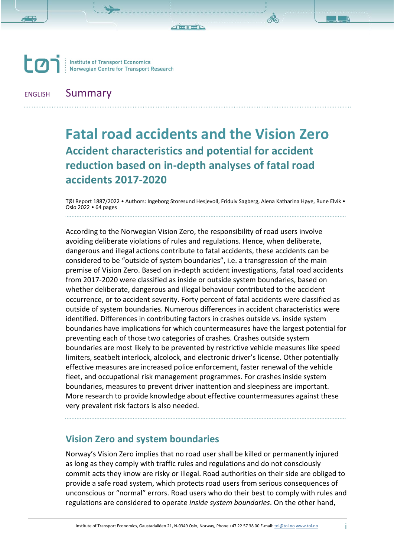**TH-HILL-HILL** 

 $\Gamma$ **Institute of Transport Economics<br>Norwegian Centre for Transport Research** 

### ENGLISH Summary

# **Fatal road accidents and the Vision Zero Accident characteristics and potential for accident reduction based on in-depth analyses of fatal road accidents 2017-2020**

TØI Report 1887/2022 • Authors: Ingeborg Storesund Hesjevoll, Fridulv Sagberg, Alena Katharina Høye, Rune Elvik •<br>Oslo 2022 • 64 pages 

According to the Norwegian Vision Zero, the responsibility of road users involve avoiding deliberate violations of rules and regulations. Hence, when deliberate, dangerous and illegal actions contribute to fatal accidents, these accidents can be considered to be "outside of system boundaries", i.e. a transgression of the main premise of Vision Zero. Based on in-depth accident investigations, fatal road accidents from 2017-2020 were classified as inside or outside system boundaries, based on whether deliberate, dangerous and illegal behaviour contributed to the accident occurrence, or to accident severity. Forty percent of fatal accidents were classified as outside of system boundaries. Numerous differences in accident characteristics were identified. Differences in contributing factors in crashes outside vs. inside system boundaries have implications for which countermeasures have the largest potential for preventing each of those two categories of crashes. Crashes outside system boundaries are most likely to be prevented by restrictive vehicle measures like speed limiters, seatbelt interlock, alcolock, and electronic driver's license. Other potentially effective measures are increased police enforcement, faster renewal of the vehicle fleet, and occupational risk management programmes. For crashes inside system boundaries, measures to prevent driver inattention and sleepiness are important. More research to provide knowledge about effective countermeasures against these very prevalent risk factors is also needed.

## **Vision Zero and system boundaries**

Norway's Vision Zero implies that no road user shall be killed or permanently injured as long as they comply with traffic rules and regulations and do not consciously commit acts they know are risky or illegal. Road authorities on their side are obliged to provide a safe road system, which protects road users from serious consequences of unconscious or "normal" errors. Road users who do their best to comply with rules and regulations are considered to operate *inside system boundaries*. On the other hand,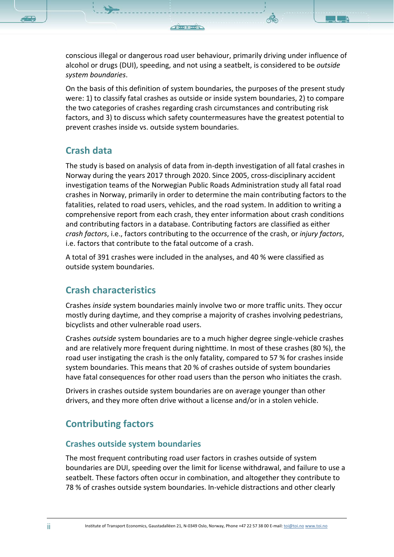conscious illegal or dangerous road user behaviour, primarily driving under influence of alcohol or drugs (DUI), speeding, and not using a seatbelt, is considered to be *outside system boundaries*.

On the basis of this definition of system boundaries, the purposes of the present study were: 1) to classify fatal crashes as outside or inside system boundaries, 2) to compare the two categories of crashes regarding crash circumstances and contributing risk factors, and 3) to discuss which safety countermeasures have the greatest potential to prevent crashes inside vs. outside system boundaries.

### **Crash data**

The study is based on analysis of data from in-depth investigation of all fatal crashes in Norway during the years 2017 through 2020. Since 2005, cross-disciplinary accident investigation teams of the Norwegian Public Roads Administration study all fatal road crashes in Norway, primarily in order to determine the main contributing factors to the fatalities, related to road users, vehicles, and the road system. In addition to writing a comprehensive report from each crash, they enter information about crash conditions and contributing factors in a database. Contributing factors are classified as either *crash factors*, i.e., factors contributing to the occurrence of the crash, or *injury factors*, i.e. factors that contribute to the fatal outcome of a crash.

A total of 391 crashes were included in the analyses, and 40 % were classified as outside system boundaries.

## **Crash characteristics**

Crashes *inside* system boundaries mainly involve two or more traffic units. They occur mostly during daytime, and they comprise a majority of crashes involving pedestrians, bicyclists and other vulnerable road users.

Crashes *outside* system boundaries are to a much higher degree single-vehicle crashes and are relatively more frequent during nighttime. In most of these crashes (80 %), the road user instigating the crash is the only fatality, compared to 57 % for crashes inside system boundaries. This means that 20 % of crashes outside of system boundaries have fatal consequences for other road users than the person who initiates the crash.

Drivers in crashes outside system boundaries are on average younger than other drivers, and they more often drive without a license and/or in a stolen vehicle.

## **Contributing factors**

#### **Crashes outside system boundaries**

The most frequent contributing road user factors in crashes outside of system boundaries are DUI, speeding over the limit for license withdrawal, and failure to use a seatbelt. These factors often occur in combination, and altogether they contribute to 78 % of crashes outside system boundaries. In-vehicle distractions and other clearly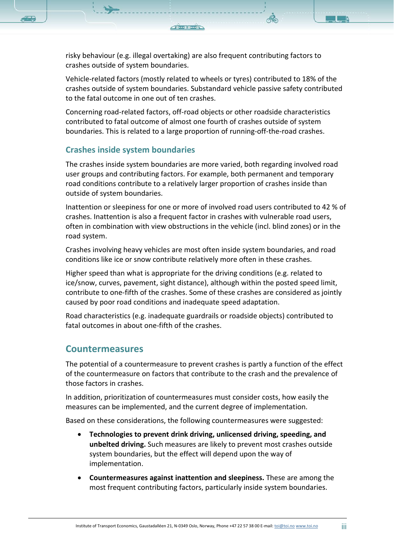risky behaviour (e.g. illegal overtaking) are also frequent contributing factors to crashes outside of system boundaries.

Vehicle-related factors (mostly related to wheels or tyres) contributed to 18% of the crashes outside of system boundaries. Substandard vehicle passive safety contributed to the fatal outcome in one out of ten crashes.

Concerning road-related factors, off-road objects or other roadside characteristics contributed to fatal outcome of almost one fourth of crashes outside of system boundaries. This is related to a large proportion of running-off-the-road crashes.

#### **Crashes inside system boundaries**

The crashes inside system boundaries are more varied, both regarding involved road user groups and contributing factors. For example, both permanent and temporary road conditions contribute to a relatively larger proportion of crashes inside than outside of system boundaries.

Inattention or sleepiness for one or more of involved road users contributed to 42 % of crashes. Inattention is also a frequent factor in crashes with vulnerable road users, often in combination with view obstructions in the vehicle (incl. blind zones) or in the road system.

Crashes involving heavy vehicles are most often inside system boundaries, and road conditions like ice or snow contribute relatively more often in these crashes.

Higher speed than what is appropriate for the driving conditions (e.g. related to ice/snow, curves, pavement, sight distance), although within the posted speed limit, contribute to one-fifth of the crashes. Some of these crashes are considered as jointly caused by poor road conditions and inadequate speed adaptation.

Road characteristics (e.g. inadequate guardrails or roadside objects) contributed to fatal outcomes in about one-fifth of the crashes.

#### **Countermeasures**

The potential of a countermeasure to prevent crashes is partly a function of the effect of the countermeasure on factors that contribute to the crash and the prevalence of those factors in crashes.

In addition, prioritization of countermeasures must consider costs, how easily the measures can be implemented, and the current degree of implementation.

Based on these considerations, the following countermeasures were suggested:

- **Technologies to prevent drink driving, unlicensed driving, speeding, and unbelted driving.** Such measures are likely to prevent most crashes outside system boundaries, but the effect will depend upon the way of implementation.
- **Countermeasures against inattention and sleepiness.** These are among the most frequent contributing factors, particularly inside system boundaries.